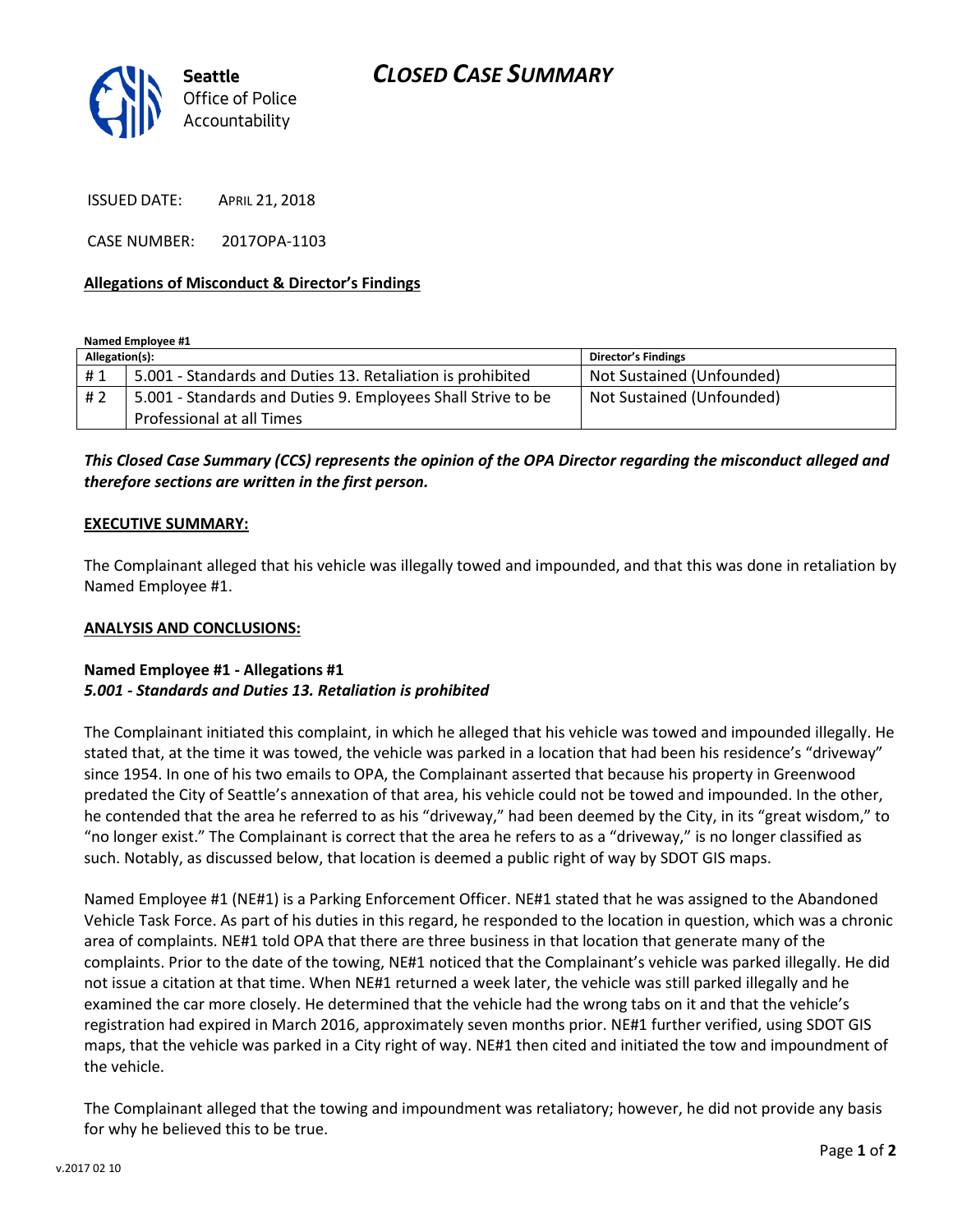

ISSUED DATE: APRIL 21, 2018

CASE NUMBER: 2017OPA-1103

### **Allegations of Misconduct & Director's Findings**

**Named Employee #1**

| Allegation(s): |                                                                                           | Director's Findings       |
|----------------|-------------------------------------------------------------------------------------------|---------------------------|
| #1             | 5.001 - Standards and Duties 13. Retaliation is prohibited                                | Not Sustained (Unfounded) |
| # 2            | 5.001 - Standards and Duties 9. Employees Shall Strive to be<br>Professional at all Times | Not Sustained (Unfounded) |

*This Closed Case Summary (CCS) represents the opinion of the OPA Director regarding the misconduct alleged and therefore sections are written in the first person.* 

### **EXECUTIVE SUMMARY:**

The Complainant alleged that his vehicle was illegally towed and impounded, and that this was done in retaliation by Named Employee #1.

#### **ANALYSIS AND CONCLUSIONS:**

## **Named Employee #1 - Allegations #1** *5.001 - Standards and Duties 13. Retaliation is prohibited*

The Complainant initiated this complaint, in which he alleged that his vehicle was towed and impounded illegally. He stated that, at the time it was towed, the vehicle was parked in a location that had been his residence's "driveway" since 1954. In one of his two emails to OPA, the Complainant asserted that because his property in Greenwood predated the City of Seattle's annexation of that area, his vehicle could not be towed and impounded. In the other, he contended that the area he referred to as his "driveway," had been deemed by the City, in its "great wisdom," to "no longer exist." The Complainant is correct that the area he refers to as a "driveway," is no longer classified as such. Notably, as discussed below, that location is deemed a public right of way by SDOT GIS maps.

Named Employee #1 (NE#1) is a Parking Enforcement Officer. NE#1 stated that he was assigned to the Abandoned Vehicle Task Force. As part of his duties in this regard, he responded to the location in question, which was a chronic area of complaints. NE#1 told OPA that there are three business in that location that generate many of the complaints. Prior to the date of the towing, NE#1 noticed that the Complainant's vehicle was parked illegally. He did not issue a citation at that time. When NE#1 returned a week later, the vehicle was still parked illegally and he examined the car more closely. He determined that the vehicle had the wrong tabs on it and that the vehicle's registration had expired in March 2016, approximately seven months prior. NE#1 further verified, using SDOT GIS maps, that the vehicle was parked in a City right of way. NE#1 then cited and initiated the tow and impoundment of the vehicle.

The Complainant alleged that the towing and impoundment was retaliatory; however, he did not provide any basis for why he believed this to be true.